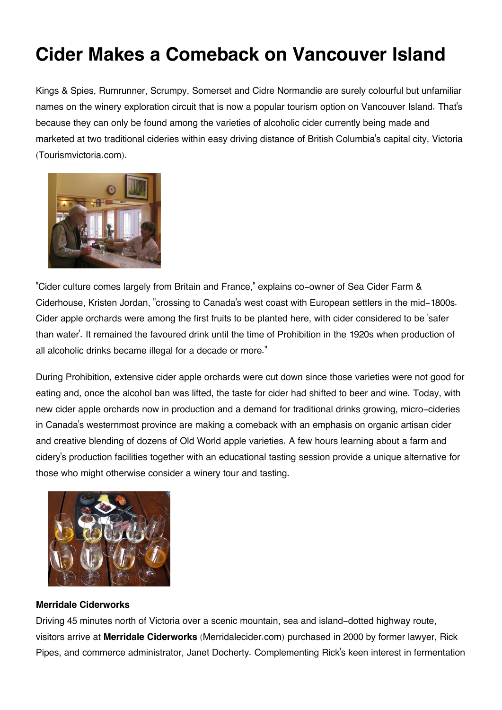## **Cider Makes a Comeback on Vancouver Island**

Kings & Spies, Rumrunner, Scrumpy, Somerset and Cidre Normandie are surely colourful but unfamiliar names on the winery exploration circuit that is now a popular tourism option on Vancouver Island. That's because they can only be found among the varieties of alcoholic cider currently being made and marketed at two traditional cideries within easy driving distance of British Columbia's capital city, Victoria (Tourismvictoria.com).



"Cider culture comes largely from Britain and France," explains co-owner of Sea Cider Farm & Ciderhouse, Kristen Jordan, "crossing to Canada's west coast with European settlers in the mid-1800s. Cider apple orchards were among the first fruits to be planted here, with cider considered to be 'safer than water'. It remained the favoured drink until the time of Prohibition in the 1920s when production of all alcoholic drinks became illegal for a decade or more."

During Prohibition, extensive cider apple orchards were cut down since those varieties were not good for eating and, once the alcohol ban was lifted, the taste for cider had shifted to beer and wine. Today, with new cider apple orchards now in production and a demand for traditional drinks growing, micro-cideries in Canada's westernmost province are making a comeback with an emphasis on organic artisan cider and creative blending of dozens of Old World apple varieties. A few hours learning about a farm and cidery's production facilities together with an educational tasting session provide a unique alternative for those who might otherwise consider a winery tour and tasting.



## **Merridale Ciderworks**

Driving 45 minutes north of Victoria over a scenic mountain, sea and island-dotted highway route, visitors arrive at **Merridale Ciderworks** (Merridalecider.com) purchased in 2000 by former lawyer, Rick Pipes, and commerce administrator, Janet Docherty. Complementing Rick's keen interest in fermentation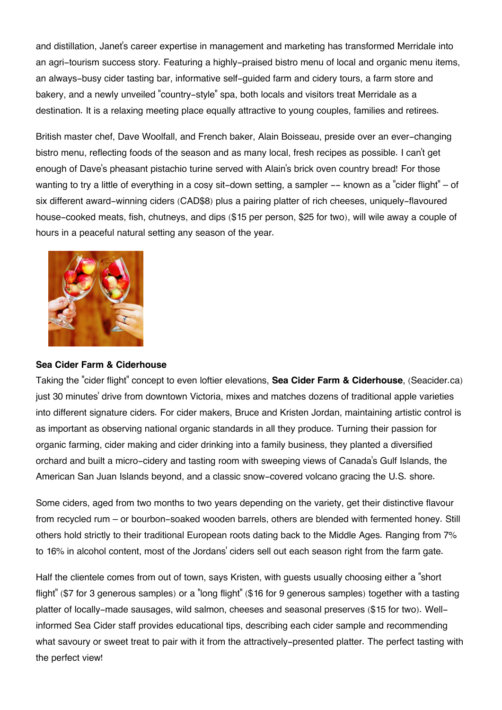and distillation, Janet's career expertise in management and marketing has transformed Merridale into an agri-tourism success story. Featuring a highly-praised bistro menu of local and organic menu items, an always-busy cider tasting bar, informative self-guided farm and cidery tours, a farm store and bakery, and a newly unveiled "country-style" spa, both locals and visitors treat Merridale as a destination. It is a relaxing meeting place equally attractive to young couples, families and retirees.

British master chef, Dave Woolfall, and French baker, Alain Boisseau, preside over an ever-changing bistro menu, reflecting foods of the season and as many local, fresh recipes as possible. I can't get enough of Dave's pheasant pistachio turine served with Alain's brick oven country bread! For those wanting to try a little of everything in a cosy sit-down setting, a sampler -- known as a "cider flight" – of six different award-winning ciders (CAD\$8) plus a pairing platter of rich cheeses, uniquely-flavoured house-cooked meats, fish, chutneys, and dips (\$15 per person, \$25 for two), will wile away a couple of hours in a peaceful natural setting any season of the year.



## **Sea Cider Farm & Ciderhouse**

Taking the "cider flight" concept to even loftier elevations, **Sea Cider Farm & Ciderhouse**, (Seacider.ca) just 30 minutes' drive from downtown Victoria, mixes and matches dozens of traditional apple varieties into different signature ciders. For cider makers, Bruce and Kristen Jordan, maintaining artistic control is as important as observing national organic standards in all they produce. Turning their passion for organic farming, cider making and cider drinking into a family business, they planted a diversified orchard and built a micro-cidery and tasting room with sweeping views of Canada's Gulf Islands, the American San Juan Islands beyond, and a classic snow-covered volcano gracing the U.S. shore.

Some ciders, aged from two months to two years depending on the variety, get their distinctive flavour from recycled rum – or bourbon-soaked wooden barrels, others are blended with fermented honey. Still others hold strictly to their traditional European roots dating back to the Middle Ages. Ranging from 7% to 16% in alcohol content, most of the Jordans' ciders sell out each season right from the farm gate.

Half the clientele comes from out of town, says Kristen, with guests usually choosing either a "short flight" (\$7 for 3 generous samples) or a "long flight" (\$16 for 9 generous samples) together with a tasting platter of locally-made sausages, wild salmon, cheeses and seasonal preserves (\$15 for two). Wellinformed Sea Cider staff provides educational tips, describing each cider sample and recommending what savoury or sweet treat to pair with it from the attractively-presented platter. The perfect tasting with the perfect view!